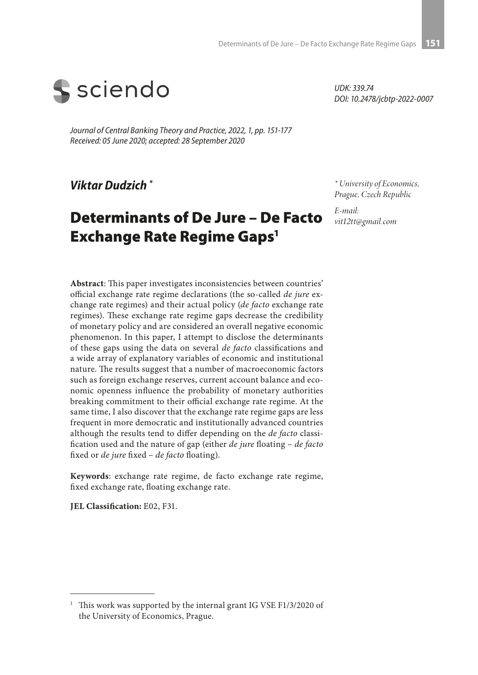

*Journal of Central Banking Theory and Practice, 2022, 1, pp. 151-177 Received: 05 June 2020; accepted: 28 September 2020*

*Viktar Dudzich \**

# Determinants of De Jure – De Facto Exchange Rate Regime Gaps<sup>1</sup>

*UDK: 339.74 DOI: 10.2478/jcbtp-2022-0007*

*\* University of Economics, Prague, Czech Republic*

*E-mail: vit12tt@gmail.com*

**Abstract**: This paper investigates inconsistencies between countries' official exchange rate regime declarations (the so-called *de jure* exchange rate regimes) and their actual policy (*de facto* exchange rate regimes). These exchange rate regime gaps decrease the credibility of monetary policy and are considered an overall negative economic phenomenon. In this paper, I attempt to disclose the determinants of these gaps using the data on several *de facto* classifications and a wide array of explanatory variables of economic and institutional nature. The results suggest that a number of macroeconomic factors such as foreign exchange reserves, current account balance and economic openness influence the probability of monetary authorities breaking commitment to their official exchange rate regime. At the same time, I also discover that the exchange rate regime gaps are less frequent in more democratic and institutionally advanced countries although the results tend to differ depending on the *de facto* classification used and the nature of gap (either *de jure* floating – *de facto* fixed or *de jure* fixed – *de facto* floating).

**Keywords**: exchange rate regime, de facto exchange rate regime, fixed exchange rate, floating exchange rate.

**JEL Classification:** E02, F31.

<sup>&</sup>lt;sup>1</sup> This work was supported by the internal grant IG VSE F1/3/2020 of the University of Economics, Prague.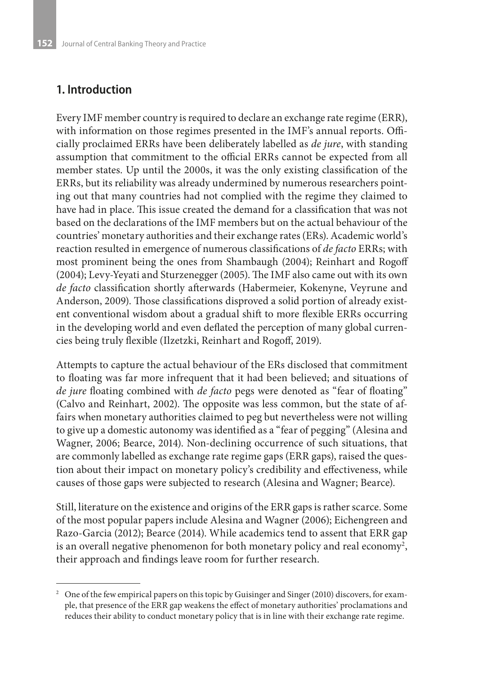### **1. Introduction**

Every IMF member country is required to declare an exchange rate regime (ERR), with information on those regimes presented in the IMF's annual reports. Officially proclaimed ERRs have been deliberately labelled as *de jure*, with standing assumption that commitment to the official ERRs cannot be expected from all member states. Up until the 2000s, it was the only existing classification of the ERRs, but its reliability was already undermined by numerous researchers pointing out that many countries had not complied with the regime they claimed to have had in place. This issue created the demand for a classification that was not based on the declarations of the IMF members but on the actual behaviour of the countries' monetary authorities and their exchange rates (ERs). Academic world's reaction resulted in emergence of numerous classifications of *de facto* ERRs; with most prominent being the ones from Shambaugh (2004); Reinhart and Rogoff (2004); Levy-Yeyati and Sturzenegger (2005). The IMF also came out with its own *de facto* classification shortly afterwards (Habermeier, Kokenyne, Veyrune and Anderson, 2009). Those classifications disproved a solid portion of already existent conventional wisdom about a gradual shift to more flexible ERRs occurring in the developing world and even deflated the perception of many global currencies being truly flexible (Ilzetzki, Reinhart and Rogoff, 2019).

Attempts to capture the actual behaviour of the ERs disclosed that commitment to floating was far more infrequent that it had been believed; and situations of *de jure* floating combined with *de facto* pegs were denoted as "fear of floating" (Calvo and Reinhart, 2002). The opposite was less common, but the state of affairs when monetary authorities claimed to peg but nevertheless were not willing to give up a domestic autonomy was identified as a "fear of pegging" (Alesina and Wagner, 2006; Bearce, 2014). Non-declining occurrence of such situations, that are commonly labelled as exchange rate regime gaps (ERR gaps), raised the question about their impact on monetary policy's credibility and effectiveness, while causes of those gaps were subjected to research (Alesina and Wagner; Bearce).

Still, literature on the existence and origins of the ERR gaps is rather scarce. Some of the most popular papers include Alesina and Wagner (2006); Eichengreen and Razo-Garcia (2012); Bearce (2014). While academics tend to assent that ERR gap is an overall negative phenomenon for both monetary policy and real economy<sup>2</sup>, their approach and findings leave room for further research.

<sup>&</sup>lt;sup>2</sup> One of the few empirical papers on this topic by Guisinger and Singer (2010) discovers, for example, that presence of the ERR gap weakens the effect of monetary authorities' proclamations and reduces their ability to conduct monetary policy that is in line with their exchange rate regime.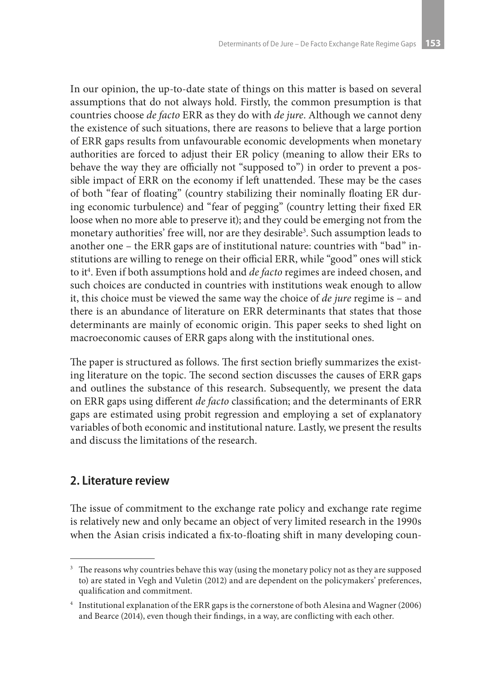In our opinion, the up-to-date state of things on this matter is based on several assumptions that do not always hold. Firstly, the common presumption is that countries choose *de facto* ERR as they do with *de jure*. Although we cannot deny the existence of such situations, there are reasons to believe that a large portion of ERR gaps results from unfavourable economic developments when monetary authorities are forced to adjust their ER policy (meaning to allow their ERs to behave the way they are officially not "supposed to") in order to prevent a possible impact of ERR on the economy if left unattended. These may be the cases of both "fear of floating" (country stabilizing their nominally floating ER during economic turbulence) and "fear of pegging" (country letting their fixed ER loose when no more able to preserve it); and they could be emerging not from the monetary authorities' free will, nor are they desirable<sup>3</sup>. Such assumption leads to another one – the ERR gaps are of institutional nature: countries with "bad" institutions are willing to renege on their official ERR, while "good" ones will stick to it4 . Even if both assumptions hold and *de facto* regimes are indeed chosen, and such choices are conducted in countries with institutions weak enough to allow it, this choice must be viewed the same way the choice of *de jure* regime is – and there is an abundance of literature on ERR determinants that states that those determinants are mainly of economic origin. This paper seeks to shed light on macroeconomic causes of ERR gaps along with the institutional ones.

The paper is structured as follows. The first section briefly summarizes the existing literature on the topic. The second section discusses the causes of ERR gaps and outlines the substance of this research. Subsequently, we present the data on ERR gaps using different *de facto* classification; and the determinants of ERR gaps are estimated using probit regression and employing a set of explanatory variables of both economic and institutional nature. Lastly, we present the results and discuss the limitations of the research.

# **2. Literature review**

The issue of commitment to the exchange rate policy and exchange rate regime is relatively new and only became an object of very limited research in the 1990s when the Asian crisis indicated a fix-to-floating shift in many developing coun-

<sup>&</sup>lt;sup>3</sup> The reasons why countries behave this way (using the monetary policy not as they are supposed to) are stated in Vegh and Vuletin (2012) and are dependent on the policymakers' preferences, qualification and commitment.

<sup>4</sup> Institutional explanation of the ERR gaps is the cornerstone of both Alesina and Wagner (2006) and Bearce (2014), even though their findings, in a way, are conflicting with each other.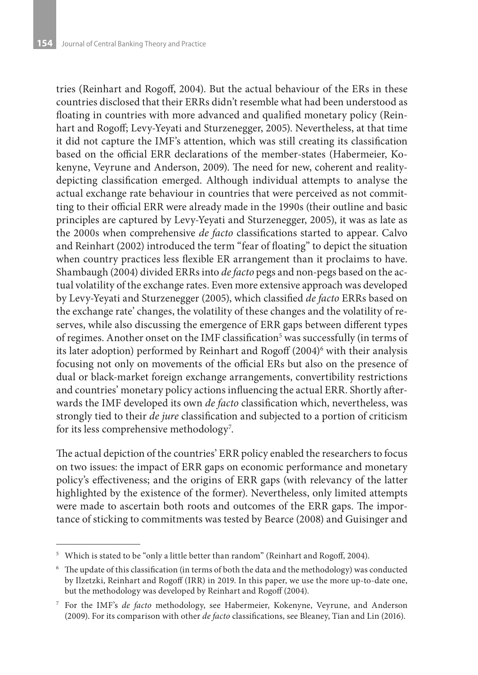tries (Reinhart and Rogoff, 2004). But the actual behaviour of the ERs in these countries disclosed that their ERRs didn't resemble what had been understood as floating in countries with more advanced and qualified monetary policy (Reinhart and Rogoff; Levy-Yeyati and Sturzenegger, 2005). Nevertheless, at that time it did not capture the IMF's attention, which was still creating its classification based on the official ERR declarations of the member-states (Habermeier, Kokenyne, Veyrune and Anderson, 2009). The need for new, coherent and realitydepicting classification emerged. Although individual attempts to analyse the actual exchange rate behaviour in countries that were perceived as not committing to their official ERR were already made in the 1990s (their outline and basic principles are captured by Levy-Yeyati and Sturzenegger, 2005), it was as late as the 2000s when comprehensive *de facto* classifications started to appear. Calvo and Reinhart (2002) introduced the term "fear of floating" to depict the situation when country practices less flexible ER arrangement than it proclaims to have. Shambaugh (2004) divided ERRs into *de facto* pegs and non-pegs based on the actual volatility of the exchange rates. Even more extensive approach was developed by Levy-Yeyati and Sturzenegger (2005), which classified *de facto* ERRs based on the exchange rate' changes, the volatility of these changes and the volatility of reserves, while also discussing the emergence of ERR gaps between different types of regimes. Another onset on the IMF classification<sup>5</sup> was successfully (in terms of its later adoption) performed by Reinhart and Rogoff (2004)<sup>6</sup> with their analysis focusing not only on movements of the official ERs but also on the presence of dual or black-market foreign exchange arrangements, convertibility restrictions and countries' monetary policy actions influencing the actual ERR. Shortly afterwards the IMF developed its own *de facto* classification which, nevertheless, was strongly tied to their *de jure* classification and subjected to a portion of criticism for its less comprehensive methodology<sup>7</sup>.

The actual depiction of the countries' ERR policy enabled the researchers to focus on two issues: the impact of ERR gaps on economic performance and monetary policy's effectiveness; and the origins of ERR gaps (with relevancy of the latter highlighted by the existence of the former). Nevertheless, only limited attempts were made to ascertain both roots and outcomes of the ERR gaps. The importance of sticking to commitments was tested by Bearce (2008) and Guisinger and

<sup>&</sup>lt;sup>5</sup> Which is stated to be "only a little better than random" (Reinhart and Rogoff, 2004).

<sup>6</sup> The update of this classification (in terms of both the data and the methodology) was conducted by Ilzetzki, Reinhart and Rogoff (IRR) in 2019. In this paper, we use the more up-to-date one, but the methodology was developed by Reinhart and Rogoff (2004).

<sup>7</sup> For the IMF's *de facto* methodology, see Habermeier, Kokenyne, Veyrune, and Anderson (2009). For its comparison with other *de facto* classifications, see Bleaney, Tian and Lin (2016).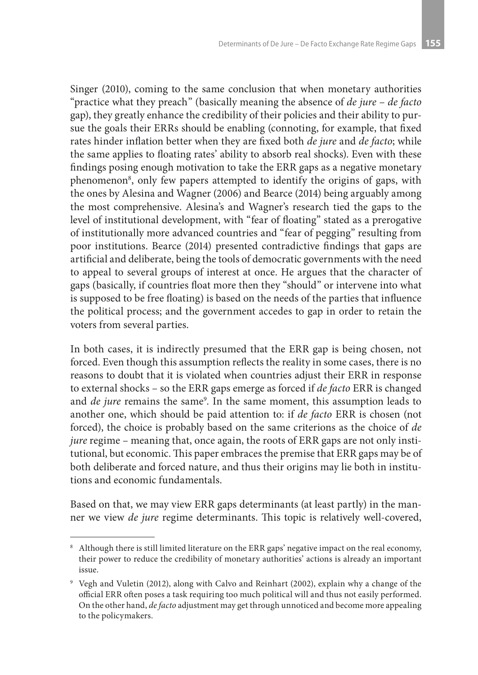Singer (2010), coming to the same conclusion that when monetary authorities "practice what they preach" (basically meaning the absence of *de jure* – *de facto* gap), they greatly enhance the credibility of their policies and their ability to pursue the goals their ERRs should be enabling (connoting, for example, that fixed rates hinder inflation better when they are fixed both *de jure* and *de facto*; while the same applies to floating rates' ability to absorb real shocks). Even with these findings posing enough motivation to take the ERR gaps as a negative monetary phenomenon<sup>8</sup>, only few papers attempted to identify the origins of gaps, with the ones by Alesina and Wagner (2006) and Bearce (2014) being arguably among the most comprehensive. Alesina's and Wagner's research tied the gaps to the level of institutional development, with "fear of floating" stated as a prerogative of institutionally more advanced countries and "fear of pegging" resulting from poor institutions. Bearce (2014) presented contradictive findings that gaps are artificial and deliberate, being the tools of democratic governments with the need to appeal to several groups of interest at once. He argues that the character of gaps (basically, if countries float more then they "should" or intervene into what is supposed to be free floating) is based on the needs of the parties that influence the political process; and the government accedes to gap in order to retain the voters from several parties.

In both cases, it is indirectly presumed that the ERR gap is being chosen, not forced. Even though this assumption reflects the reality in some cases, there is no reasons to doubt that it is violated when countries adjust their ERR in response to external shocks – so the ERR gaps emerge as forced if *de facto* ERR is changed and *de jure* remains the same<sup>9</sup>. In the same moment, this assumption leads to another one, which should be paid attention to: if *de facto* ERR is chosen (not forced), the choice is probably based on the same criterions as the choice of *de jure* regime – meaning that, once again, the roots of ERR gaps are not only institutional, but economic. This paper embraces the premise that ERR gaps may be of both deliberate and forced nature, and thus their origins may lie both in institutions and economic fundamentals.

Based on that, we may view ERR gaps determinants (at least partly) in the manner we view *de jure* regime determinants. This topic is relatively well-covered,

<sup>&</sup>lt;sup>8</sup> Although there is still limited literature on the ERR gaps' negative impact on the real economy, their power to reduce the credibility of monetary authorities' actions is already an important issue.

<sup>9</sup> Vegh and Vuletin (2012), along with Calvo and Reinhart (2002), explain why a change of the official ERR often poses a task requiring too much political will and thus not easily performed. On the other hand, *de facto* adjustment may get through unnoticed and become more appealing to the policymakers.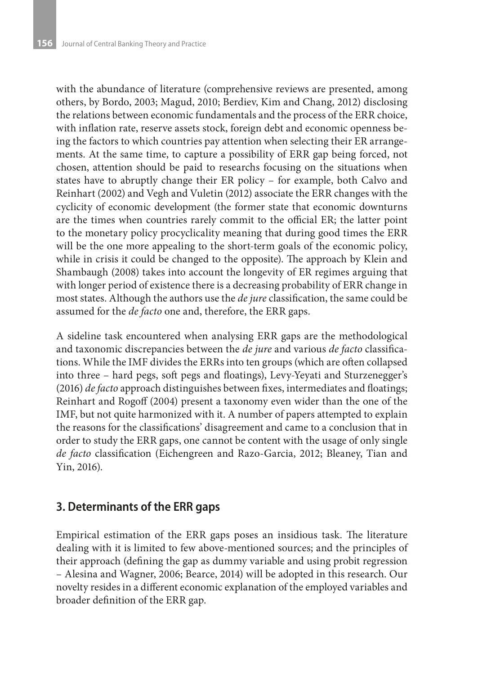with the abundance of literature (comprehensive reviews are presented, among others, by Bordo, 2003; Magud, 2010; Berdiev, Kim and Chang, 2012) disclosing the relations between economic fundamentals and the process of the ERR choice, with inflation rate, reserve assets stock, foreign debt and economic openness being the factors to which countries pay attention when selecting their ER arrangements. At the same time, to capture a possibility of ERR gap being forced, not chosen, attention should be paid to researchs focusing on the situations when states have to abruptly change their ER policy – for example, both Calvo and Reinhart (2002) and Vegh and Vuletin (2012) associate the ERR changes with the cyclicity of economic development (the former state that economic downturns are the times when countries rarely commit to the official ER; the latter point to the monetary policy procyclicality meaning that during good times the ERR will be the one more appealing to the short-term goals of the economic policy, while in crisis it could be changed to the opposite). The approach by Klein and Shambaugh (2008) takes into account the longevity of ER regimes arguing that with longer period of existence there is a decreasing probability of ERR change in most states. Although the authors use the *de jure* classification, the same could be assumed for the *de facto* one and, therefore, the ERR gaps.

A sideline task encountered when analysing ERR gaps are the methodological and taxonomic discrepancies between the *de jure* and various *de facto* classifications. While the IMF divides the ERRs into ten groups (which are often collapsed into three – hard pegs, soft pegs and floatings), Levy-Yeyati and Sturzenegger's (2016) *de facto* approach distinguishes between fixes, intermediates and floatings; Reinhart and Rogoff (2004) present a taxonomy even wider than the one of the IMF, but not quite harmonized with it. A number of papers attempted to explain the reasons for the classifications' disagreement and came to a conclusion that in order to study the ERR gaps, one cannot be content with the usage of only single *de facto* classification (Eichengreen and Razo-Garcia, 2012; Bleaney, Tian and Yin, 2016).

# **3. Determinants of the ERR gaps**

Empirical estimation of the ERR gaps poses an insidious task. The literature dealing with it is limited to few above-mentioned sources; and the principles of their approach (defining the gap as dummy variable and using probit regression – Alesina and Wagner, 2006; Bearce, 2014) will be adopted in this research. Our novelty resides in a different economic explanation of the employed variables and broader definition of the ERR gap.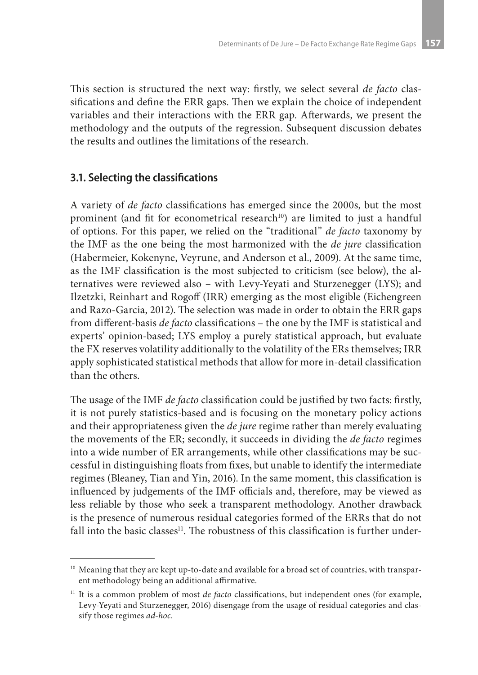This section is structured the next way: firstly, we select several *de facto* classifications and define the ERR gaps. Then we explain the choice of independent variables and their interactions with the ERR gap. Afterwards, we present the methodology and the outputs of the regression. Subsequent discussion debates the results and outlines the limitations of the research.

#### **3.1. Selecting the classifications**

A variety of *de facto* classifications has emerged since the 2000s, but the most prominent (and fit for econometrical research<sup>10</sup>) are limited to just a handful of options. For this paper, we relied on the "traditional" *de facto* taxonomy by the IMF as the one being the most harmonized with the *de jure* classification (Habermeier, Kokenyne, Veyrune, and Anderson et al., 2009). At the same time, as the IMF classification is the most subjected to criticism (see below), the alternatives were reviewed also – with Levy-Yeyati and Sturzenegger (LYS); and Ilzetzki, Reinhart and Rogoff (IRR) emerging as the most eligible (Eichengreen and Razo-Garcia, 2012). The selection was made in order to obtain the ERR gaps from different-basis *de facto* classifications – the one by the IMF is statistical and experts' opinion-based; LYS employ a purely statistical approach, but evaluate the FX reserves volatility additionally to the volatility of the ERs themselves; IRR apply sophisticated statistical methods that allow for more in-detail classification than the others.

The usage of the IMF *de facto* classification could be justified by two facts: firstly, it is not purely statistics-based and is focusing on the monetary policy actions and their appropriateness given the *de jure* regime rather than merely evaluating the movements of the ER; secondly, it succeeds in dividing the *de facto* regimes into a wide number of ER arrangements, while other classifications may be successful in distinguishing floats from fixes, but unable to identify the intermediate regimes (Bleaney, Tian and Yin, 2016). In the same moment, this classification is influenced by judgements of the IMF officials and, therefore, may be viewed as less reliable by those who seek a transparent methodology. Another drawback is the presence of numerous residual categories formed of the ERRs that do not fall into the basic classes<sup>11</sup>. The robustness of this classification is further under-

<sup>&</sup>lt;sup>10</sup> Meaning that they are kept up-to-date and available for a broad set of countries, with transparent methodology being an additional affirmative.

<sup>&</sup>lt;sup>11</sup> It is a common problem of most *de facto* classifications, but independent ones (for example, Levy-Yeyati and Sturzenegger, 2016) disengage from the usage of residual categories and classify those regimes *ad-hoc*.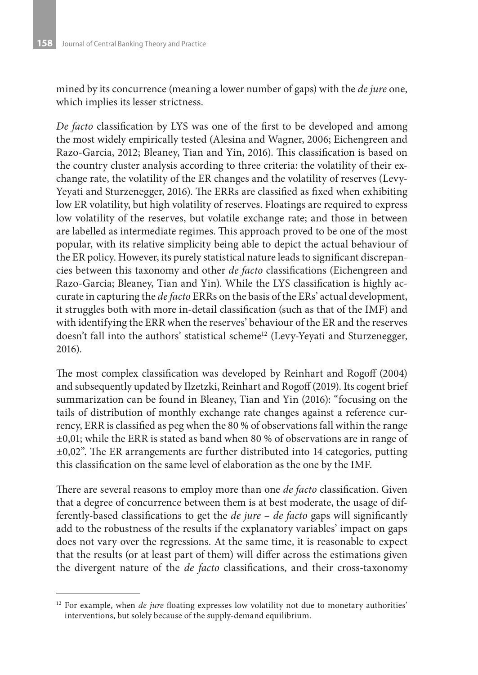mined by its concurrence (meaning a lower number of gaps) with the *de jure* one, which implies its lesser strictness.

*De facto* classification by LYS was one of the first to be developed and among the most widely empirically tested (Alesina and Wagner, 2006; Eichengreen and Razo-Garcia, 2012; Bleaney, Tian and Yin, 2016). This classification is based on the country cluster analysis according to three criteria: the volatility of their exchange rate, the volatility of the ER changes and the volatility of reserves (Levy-Yeyati and Sturzenegger, 2016). The ERRs are classified as fixed when exhibiting low ER volatility, but high volatility of reserves. Floatings are required to express low volatility of the reserves, but volatile exchange rate; and those in between are labelled as intermediate regimes. This approach proved to be one of the most popular, with its relative simplicity being able to depict the actual behaviour of the ER policy. However, its purely statistical nature leads to significant discrepancies between this taxonomy and other *de facto* classifications (Eichengreen and Razo-Garcia; Bleaney, Tian and Yin). While the LYS classification is highly accurate in capturing the *de facto* ERRs on the basis of the ERs' actual development, it struggles both with more in-detail classification (such as that of the IMF) and with identifying the ERR when the reserves' behaviour of the ER and the reserves doesn't fall into the authors' statistical scheme<sup>12</sup> (Levy-Yeyati and Sturzenegger, 2016).

The most complex classification was developed by Reinhart and Rogoff (2004) and subsequently updated by Ilzetzki, Reinhart and Rogoff (2019). Its cogent brief summarization can be found in Bleaney, Tian and Yin (2016): "focusing on the tails of distribution of monthly exchange rate changes against a reference currency, ERR is classified as peg when the 80 % of observations fall within the range ±0,01; while the ERR is stated as band when 80 % of observations are in range of ±0,02". The ER arrangements are further distributed into 14 categories, putting this classification on the same level of elaboration as the one by the IMF.

There are several reasons to employ more than one *de facto* classification. Given that a degree of concurrence between them is at best moderate, the usage of differently-based classifications to get the *de jure* – *de facto* gaps will significantly add to the robustness of the results if the explanatory variables' impact on gaps does not vary over the regressions. At the same time, it is reasonable to expect that the results (or at least part of them) will differ across the estimations given the divergent nature of the *de facto* classifications, and their cross-taxonomy

<sup>&</sup>lt;sup>12</sup> For example, when *de jure* floating expresses low volatility not due to monetary authorities' interventions, but solely because of the supply-demand equilibrium.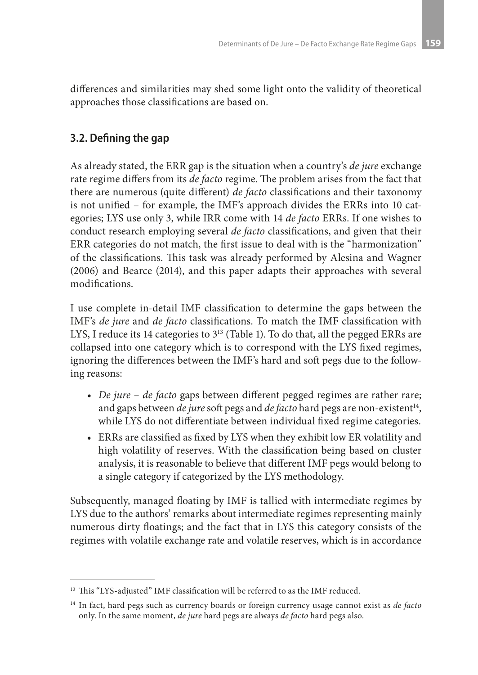differences and similarities may shed some light onto the validity of theoretical approaches those classifications are based on.

# **3.2. Defining the gap**

As already stated, the ERR gap is the situation when a country's *de jure* exchange rate regime differs from its *de facto* regime. The problem arises from the fact that there are numerous (quite different) *de facto* classifications and their taxonomy is not unified – for example, the IMF's approach divides the ERRs into 10 categories; LYS use only 3, while IRR come with 14 *de facto* ERRs. If one wishes to conduct research employing several *de facto* classifications, and given that their ERR categories do not match, the first issue to deal with is the "harmonization" of the classifications. This task was already performed by Alesina and Wagner (2006) and Bearce (2014), and this paper adapts their approaches with several modifications.

I use complete in-detail IMF classification to determine the gaps between the IMF's *de jure* and *de facto* classifications. To match the IMF classification with LYS, I reduce its 14 categories to 3<sup>13</sup> (Table 1). To do that, all the pegged ERRs are collapsed into one category which is to correspond with the LYS fixed regimes, ignoring the differences between the IMF's hard and soft pegs due to the following reasons:

- • *De jure de facto* gaps between different pegged regimes are rather rare; and gaps between *de jure* soft pegs and *de facto* hard pegs are non-existent<sup>14</sup>, while LYS do not differentiate between individual fixed regime categories.
- • ERRs are classified as fixed by LYS when they exhibit low ER volatility and high volatility of reserves. With the classification being based on cluster analysis, it is reasonable to believe that different IMF pegs would belong to a single category if categorized by the LYS methodology.

Subsequently, managed floating by IMF is tallied with intermediate regimes by LYS due to the authors' remarks about intermediate regimes representing mainly numerous dirty floatings; and the fact that in LYS this category consists of the regimes with volatile exchange rate and volatile reserves, which is in accordance

<sup>&</sup>lt;sup>13</sup> This "LYS-adjusted" IMF classification will be referred to as the IMF reduced.

<sup>14</sup> In fact, hard pegs such as currency boards or foreign currency usage cannot exist as *de facto* only. In the same moment, *de jure* hard pegs are always *de facto* hard pegs also.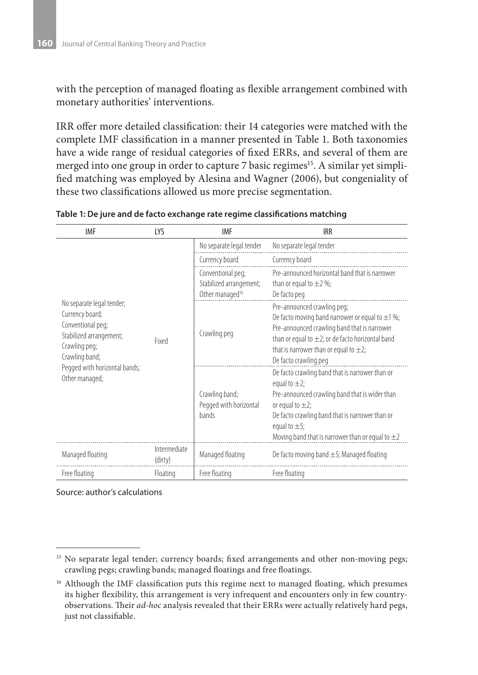with the perception of managed floating as flexible arrangement combined with monetary authorities' interventions.

IRR offer more detailed classification: their 14 categories were matched with the complete IMF classification in a manner presented in Table 1. Both taxonomies have a wide range of residual categories of fixed ERRs, and several of them are merged into one group in order to capture 7 basic regimes<sup>15</sup>. A similar yet simplified matching was employed by Alesina and Wagner (2006), but congeniality of these two classifications allowed us more precise segmentation.

| IMF                                                                                                | <b>LYS</b>              | <b>IMF</b>                                        | <b>IRR</b>                                                                                                                                                                                                                                                                        |
|----------------------------------------------------------------------------------------------------|-------------------------|---------------------------------------------------|-----------------------------------------------------------------------------------------------------------------------------------------------------------------------------------------------------------------------------------------------------------------------------------|
|                                                                                                    |                         | No separate legal tender                          | No separate legal tender                                                                                                                                                                                                                                                          |
|                                                                                                    |                         | Currency board                                    | Currency board                                                                                                                                                                                                                                                                    |
|                                                                                                    |                         | Conventional peg;                                 | Pre-announced horizontal band that is narrower                                                                                                                                                                                                                                    |
|                                                                                                    |                         | Stabilized arrangement;                           | than or equal to $\pm 2\%$ ;                                                                                                                                                                                                                                                      |
| No separate legal tender;                                                                          |                         | Other managed <sup>16</sup>                       | De facto peg                                                                                                                                                                                                                                                                      |
| Currency board;<br>Conventional peg;<br>Stabilized arrangement;<br>Crawling peg;<br>Crawling band; | Fixed                   | Crawling peg                                      | Pre-announced crawling peg;<br>De facto moving band narrower or equal to $\pm$ 1 %;<br>Pre-announced crawling band that is narrower<br>than or equal to $\pm 2$ ; or de facto horizontal band<br>that is narrower than or equal to $\pm 2$ ;<br>De facto crawling peg             |
| Pegged with horizontal bands;<br>Other managed;                                                    |                         | Crawling band;<br>Pegged with horizontal<br>bands | De facto crawling band that is narrower than or<br>equal to $\pm 2$ ;<br>Pre-announced crawling band that is wider than<br>or equal to $\pm 2$ ;<br>De facto crawling band that is narrower than or<br>equal to $\pm$ 5;<br>Moving band that is narrower than or equal to $\pm 2$ |
| Managed floating                                                                                   | Intermediate<br>(dirty) | Managed floating                                  | De facto moving band $\pm$ 5; Managed floating                                                                                                                                                                                                                                    |
| Free floating                                                                                      | Floating                | Free floating                                     | Free floating                                                                                                                                                                                                                                                                     |

Table 1: De jure and de facto exchange rate regime classifications matching

Source: author's calculations

<sup>&</sup>lt;sup>15</sup> No separate legal tender; currency boards; fixed arrangements and other non-moving pegs; crawling pegs; crawling bands; managed floatings and free floatings.

<sup>&</sup>lt;sup>16</sup> Although the IMF classification puts this regime next to managed floating, which presumes its higher flexibility, this arrangement is very infrequent and encounters only in few countryobservations. Their *ad-hoc* analysis revealed that their ERRs were actually relatively hard pegs, just not classifiable.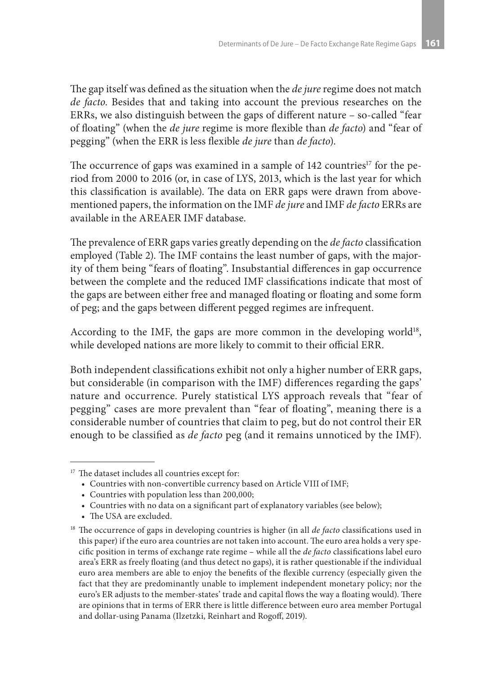The gap itself was defined as the situation when the *de jure* regime does not match *de facto*. Besides that and taking into account the previous researches on the ERRs, we also distinguish between the gaps of different nature – so-called "fear of floating" (when the *de jure* regime is more flexible than *de facto*) and "fear of pegging" (when the ERR is less flexible *de jure* than *de facto*).

The occurrence of gaps was examined in a sample of  $142$  countries<sup>17</sup> for the period from 2000 to 2016 (or, in case of LYS, 2013, which is the last year for which this classification is available). The data on ERR gaps were drawn from abovementioned papers, the information on the IMF *de jure* and IMF *de facto* ERRs are available in the AREAER IMF database.

The prevalence of ERR gaps varies greatly depending on the *de facto* classification employed (Table 2). The IMF contains the least number of gaps, with the majority of them being "fears of floating". Insubstantial differences in gap occurrence between the complete and the reduced IMF classifications indicate that most of the gaps are between either free and managed floating or floating and some form of peg; and the gaps between different pegged regimes are infrequent.

According to the IMF, the gaps are more common in the developing world<sup>18</sup>, while developed nations are more likely to commit to their official ERR.

Both independent classifications exhibit not only a higher number of ERR gaps, but considerable (in comparison with the IMF) differences regarding the gaps' nature and occurrence. Purely statistical LYS approach reveals that "fear of pegging" cases are more prevalent than "fear of floating", meaning there is a considerable number of countries that claim to peg, but do not control their ER enough to be classified as *de facto* peg (and it remains unnoticed by the IMF).

<sup>&</sup>lt;sup>17</sup> The dataset includes all countries except for:

<sup>•</sup>  Countries with non-convertible currency based on Article VIII of IMF;

<sup>•</sup>  Countries with population less than 200,000;

<sup>•</sup>  Countries with no data on a significant part of explanatory variables (see below);

<sup>•</sup> The USA are excluded.

<sup>&</sup>lt;sup>18</sup> The occurrence of gaps in developing countries is higher (in all *de facto* classifications used in this paper) if the euro area countries are not taken into account. The euro area holds a very specific position in terms of exchange rate regime – while all the *de facto* classifications label euro area's ERR as freely floating (and thus detect no gaps), it is rather questionable if the individual euro area members are able to enjoy the benefits of the flexible currency (especially given the fact that they are predominantly unable to implement independent monetary policy; nor the euro's ER adjusts to the member-states' trade and capital flows the way a floating would). There are opinions that in terms of ERR there is little difference between euro area member Portugal and dollar-using Panama (Ilzetzki, Reinhart and Rogoff, 2019).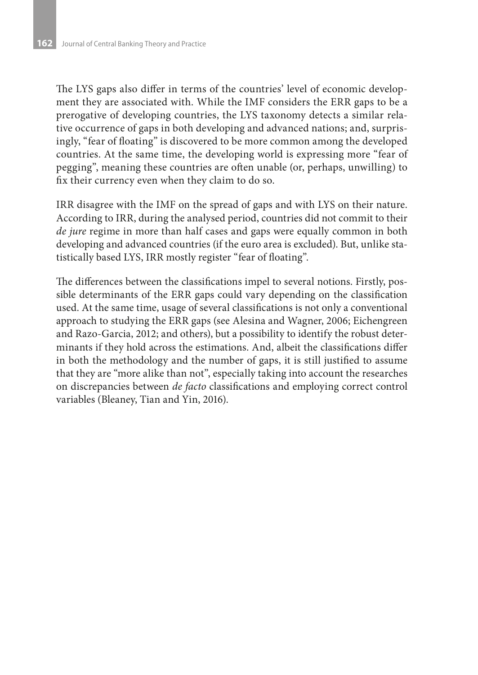The LYS gaps also differ in terms of the countries' level of economic development they are associated with. While the IMF considers the ERR gaps to be a prerogative of developing countries, the LYS taxonomy detects a similar relative occurrence of gaps in both developing and advanced nations; and, surprisingly, "fear of floating" is discovered to be more common among the developed countries. At the same time, the developing world is expressing more "fear of pegging", meaning these countries are often unable (or, perhaps, unwilling) to fix their currency even when they claim to do so.

IRR disagree with the IMF on the spread of gaps and with LYS on their nature. According to IRR, during the analysed period, countries did not commit to their *de jure* regime in more than half cases and gaps were equally common in both developing and advanced countries (if the euro area is excluded). But, unlike statistically based LYS, IRR mostly register "fear of floating".

The differences between the classifications impel to several notions. Firstly, possible determinants of the ERR gaps could vary depending on the classification used. At the same time, usage of several classifications is not only a conventional approach to studying the ERR gaps (see Alesina and Wagner, 2006; Eichengreen and Razo-Garcia, 2012; and others), but a possibility to identify the robust determinants if they hold across the estimations. And, albeit the classifications differ in both the methodology and the number of gaps, it is still justified to assume that they are "more alike than not", especially taking into account the researches on discrepancies between *de facto* classifications and employing correct control variables (Bleaney, Tian and Yin, 2016).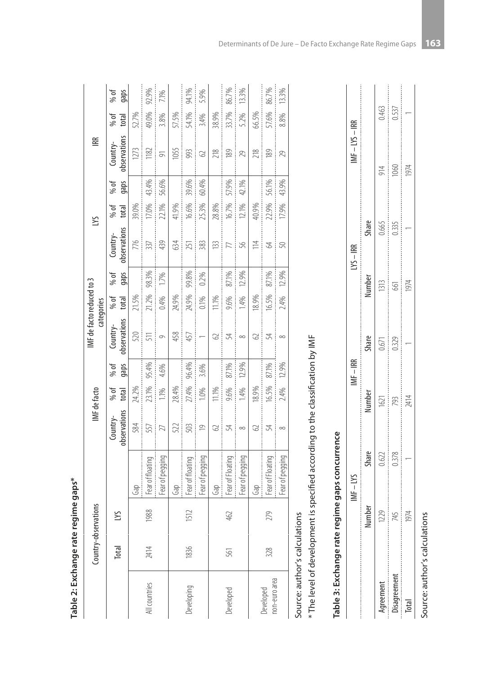|                               | Country-obs | ervations |                                                                                |                          | IMF de facto  |              | IMF de facto reduced to 3 | categories    |              |                          | SЛ            |              | 嗂                        |               |              |
|-------------------------------|-------------|-----------|--------------------------------------------------------------------------------|--------------------------|---------------|--------------|---------------------------|---------------|--------------|--------------------------|---------------|--------------|--------------------------|---------------|--------------|
|                               | Total       | S         |                                                                                | observations<br>Country- | % of<br>total | % of<br>gaps | observations<br>Country-  | % of<br>total | % of<br>gaps | observations<br>Country- | % of<br>total | % of<br>gaps | observations<br>Country- | % of<br>total | % of<br>gaps |
|                               |             |           | Gap                                                                            | 584                      | 24.2%         |              | 520                       | 21.5%         |              | 776                      | 39.0%         |              | 1273                     | 52.7%         |              |
| All countries                 | 2414        | 1988      | Fear of floating                                                               | 557                      | 23.1%         | 95.4%        | 511                       | 21.2%         | 98.3%        | 337                      | 17.0%         | 43.4%        | 1182                     | 49.0%         | 92.9%        |
|                               |             |           | Fear of pegging                                                                | 27                       | 1.1%          | 4.6%         | $\circ$                   | 0.4%          | 1.7%         | 439                      | 22.1%         | 56.6%        | $\overline{5}$           | 3.8%          | 7.1%         |
|                               |             |           | Gap                                                                            | 522                      | 28.4%         |              | 458                       | 24.9%         |              | 634                      | 41.9%         |              | 1055                     | 57.5%         |              |
| Developing                    | 1836        | 1512      | Fear of floating                                                               | 503                      | 27.4%         | 96.4%        | 457                       | 24.9%         | 99.8%        | 251                      | 16.6%         | 39.6%        | 993                      | 54.1%         | 94.1%        |
|                               |             |           | Fear of pegging                                                                | $\overline{0}$           | 1.0%          | 3.6%         | $\overline{\phantom{0}}$  | 0.1%          | 0.2%         | 383                      | 25.3%         | 60.4%        | $\Im$                    | 3.4%          | 5.9%         |
|                               |             |           | Gap                                                                            | 2                        | 11.1%         |              | 2                         | 11.1%         |              | $\approx$                | 28.8%         |              | 218                      | 38.9%         |              |
| Developed                     | 561         | 462       | Fear of Floating                                                               | 54                       | 9.6%          | 87.1%        | 54                        | 9.6%          | 87.1%        | 77                       | 16.7%         | 57.9%        | 189                      | 33.7%         | 86.7%        |
|                               |             |           | Fear of pegging                                                                | $\infty$                 | 1.4%          | 12.9%        | $\infty$                  | 1.4%          | 12.9%        | 56                       | 12.1%         | 42.1%        | 29                       | 5.2%          | 13.3%        |
|                               |             |           | Gap                                                                            | 2                        | 18.9%         |              | 3                         | 18.9%         |              | $\geq$                   | 40.9%         |              | 218                      | 66.5%         |              |
| non-euro area<br>Developed    | 328         | 279       | Fear of Floating                                                               | 54                       | 16.5%         | 87.1%        | 낯                         | 16.5%         | 87.1%        | 2                        | 22.9%         | 56.1%        | 189                      | 57.6%         | 86.7%        |
|                               |             |           | Fear of pegging                                                                | $\infty$                 | 2.4%          | 12.9%        | $\infty$                  | 2.4%          | 12.9%        | 50                       | 17.9%         | 43.9%        | 29                       | 8.8%          | 13.3%        |
| Source: author's calculations |             |           |                                                                                |                          |               |              |                           |               |              |                          |               |              |                          |               |              |
|                               |             |           | * The level of development is specified according to the classification by IMF |                          |               |              |                           |               |              |                          |               |              |                          |               |              |
|                               |             |           | Table 3: Exchange rate regime gaps concurrence                                 |                          |               |              |                           |               |              |                          |               |              |                          |               |              |

|                                                                                                                 | $\frac{1}{1}$ |       |      | $\frac{1}{2}$ | į     |       |               | $AF - IYS - IRR$ |
|-----------------------------------------------------------------------------------------------------------------|---------------|-------|------|---------------|-------|-------|---------------|------------------|
|                                                                                                                 |               | share | umbe | hare          | umbel | share |               |                  |
| ,我们在一起,我们在一起,我们在一起,我们在一起,我们在一起,我们在一起,我们在一起,我们在一起,我们在一起,我们在一起,我们在一起,我们在一起,我们在一起的时间,我们在一起,我们在一起,我们在一起,我们在一起,我们在一  | į             | 0.622 | ë.   | .<br>آھ       | 313   | cqq.  | $\frac{4}{1}$ | $\frac{1}{2}$    |
| ,我们在我们的时间,我们在我们的时间,我们在我们的时间,我们在我们的时间,我们在我们的时间,我们在我们的时间,我们在我们的时间,我们在我们的时间,我们在我们的时间,我们也不能不能不能不能不能不能不能不能不能不能不能不能不能 | 45            | J.3/8 | ž    | 1329          | g     | J.335 | 80            | 53               |
| π                                                                                                               |               |       | 2414 |               | 1074  |       |               |                  |
|                                                                                                                 |               |       |      |               |       |       |               |                  |

Source: author's calculations Source: author's calculations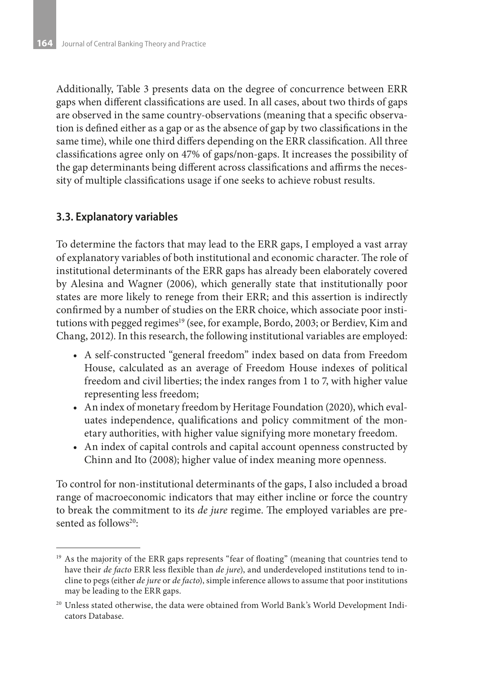Additionally, Table 3 presents data on the degree of concurrence between ERR gaps when different classifications are used. In all cases, about two thirds of gaps are observed in the same country-observations (meaning that a specific observation is defined either as a gap or as the absence of gap by two classifications in the same time), while one third differs depending on the ERR classification. All three classifications agree only on 47% of gaps/non-gaps. It increases the possibility of the gap determinants being different across classifications and affirms the necessity of multiple classifications usage if one seeks to achieve robust results.

#### **3.3. Explanatory variables**

To determine the factors that may lead to the ERR gaps, I employed a vast array of explanatory variables of both institutional and economic character. The role of institutional determinants of the ERR gaps has already been elaborately covered by Alesina and Wagner (2006), which generally state that institutionally poor states are more likely to renege from their ERR; and this assertion is indirectly confirmed by a number of studies on the ERR choice, which associate poor institutions with pegged regimes<sup>19</sup> (see, for example, Bordo, 2003; or Berdiev, Kim and Chang, 2012). In this research, the following institutional variables are employed:

- • A self-constructed "general freedom" index based on data from Freedom House, calculated as an average of Freedom House indexes of political freedom and civil liberties; the index ranges from 1 to 7, with higher value representing less freedom;
- • An index of monetary freedom by Heritage Foundation (2020), which evaluates independence, qualifications and policy commitment of the monetary authorities, with higher value signifying more monetary freedom.
- An index of capital controls and capital account openness constructed by Chinn and Ito (2008); higher value of index meaning more openness.

To control for non-institutional determinants of the gaps, I also included a broad range of macroeconomic indicators that may either incline or force the country to break the commitment to its *de jure* regime. The employed variables are presented as follows<sup>20</sup>:

<sup>&</sup>lt;sup>19</sup> As the majority of the ERR gaps represents "fear of floating" (meaning that countries tend to have their *de facto* ERR less flexible than *de jure*), and underdeveloped institutions tend to incline to pegs (either *de jure* or *de facto*), simple inference allows to assume that poor institutions may be leading to the ERR gaps.

<sup>&</sup>lt;sup>20</sup> Unless stated otherwise, the data were obtained from World Bank's World Development Indicators Database.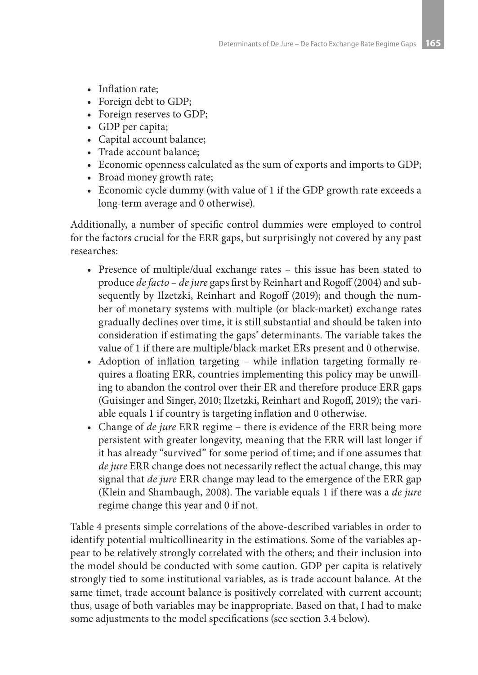- Inflation rate:
- Foreign debt to GDP;
- Foreign reserves to GDP;
- GDP per capita;
- • Capital account balance;
- Trade account balance;
- • Economic openness calculated as the sum of exports and imports to GDP;
- Broad money growth rate;
- • Economic cycle dummy (with value of 1 if the GDP growth rate exceeds a long-term average and 0 otherwise).

Additionally, a number of specific control dummies were employed to control for the factors crucial for the ERR gaps, but surprisingly not covered by any past researches:

- Presence of multiple/dual exchange rates this issue has been stated to produce *de facto* – *de jure* gaps first by Reinhart and Rogoff (2004) and subsequently by Ilzetzki, Reinhart and Rogoff (2019); and though the number of monetary systems with multiple (or black-market) exchange rates gradually declines over time, it is still substantial and should be taken into consideration if estimating the gaps' determinants. The variable takes the value of 1 if there are multiple/black-market ERs present and 0 otherwise.
- Adoption of inflation targeting while inflation targeting formally requires a floating ERR, countries implementing this policy may be unwilling to abandon the control over their ER and therefore produce ERR gaps (Guisinger and Singer, 2010; Ilzetzki, Reinhart and Rogoff, 2019); the variable equals 1 if country is targeting inflation and 0 otherwise.
- Change of *de jure* ERR regime there is evidence of the ERR being more persistent with greater longevity, meaning that the ERR will last longer if it has already "survived" for some period of time; and if one assumes that *de jure* ERR change does not necessarily reflect the actual change, this may signal that *de jure* ERR change may lead to the emergence of the ERR gap (Klein and Shambaugh, 2008). The variable equals 1 if there was a *de jure* regime change this year and 0 if not.

Table 4 presents simple correlations of the above-described variables in order to identify potential multicollinearity in the estimations. Some of the variables appear to be relatively strongly correlated with the others; and their inclusion into the model should be conducted with some caution. GDP per capita is relatively strongly tied to some institutional variables, as is trade account balance. At the same timet, trade account balance is positively correlated with current account; thus, usage of both variables may be inappropriate. Based on that, I had to make some adjustments to the model specifications (see section 3.4 below).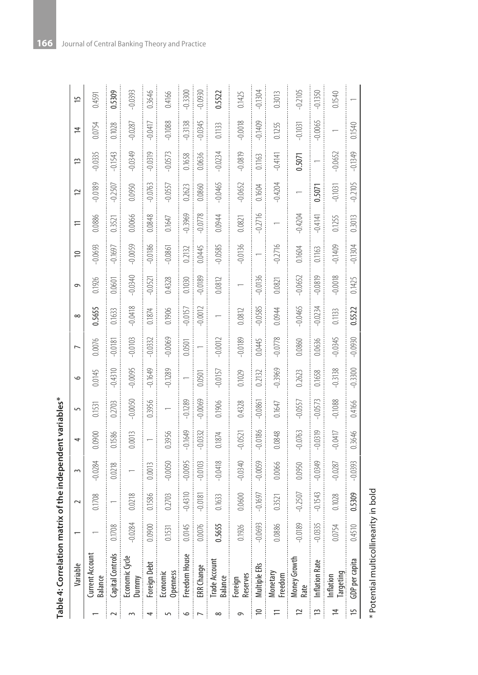| able 4: Correlation matrix of the eperator variables. |                  |                                             |                                                          |                                        |                                     |                                                             |        |                             |                                                                                                                |          |                         |               |
|-------------------------------------------------------|------------------|---------------------------------------------|----------------------------------------------------------|----------------------------------------|-------------------------------------|-------------------------------------------------------------|--------|-----------------------------|----------------------------------------------------------------------------------------------------------------|----------|-------------------------|---------------|
| Variable                                              |                  |                                             | 1 2 3 4 5 6 7 8 9 10 11 12 13                            |                                        |                                     |                                                             |        |                             |                                                                                                                |          |                         |               |
| Current Account<br>Balance                            |                  | 0.1708                                      | $-0.0284$                                                | 0.0900                                 | 0.1531 0.0145                       | 0.0076                                                      | 0.5655 | 0.1926                      | $-0.0693$                                                                                                      | 0.0886   | $-0.0189$               | $-0.033$      |
| Capital Controls                                      | 0.1708           | $\overline{\phantom{a}}$                    |                                                          | 0.0218 0.1586<br>:<br>:<br>:<br>:<br>: | $0.2703 - 0.4310 - 0.0181 - 0.1633$ |                                                             |        |                             | $0.0601 - 0.1697$<br>:<br>:<br>:<br>:<br>:                                                                     |          | $0.3521 -0.2507 -0.154$ |               |
| Economic Cycle<br>Dummy                               | $-0.0284$        | 0.0218                                      | $\overline{a}$                                           |                                        |                                     |                                                             |        |                             | 990010 950001- 970010- 817010- 9010101- 9600101- 950001- 950001- 950001- 9500101- 9500101- 9500101- 9500101- 9 |          | $0.0950 - 0.034$        |               |
| Foreign Debt                                          | 0.0900           | 0.1586                                      | 0.0013                                                   |                                        | $0.3956$ $-0.1649$ $-0.0332$        |                                                             |        |                             | $0.1874$ $-0.0521$ $-0.0186$ $0.0848$                                                                          |          | $-0.0763 - 0.031$       |               |
| Economic                                              | -<br>-<br>-<br>- | $\begin{array}{c} \sim \\ \sim \end{array}$ | $\begin{array}{c}\n\circ \\ \circ \\ \circ\n\end{array}$ | $\frac{1}{2}$                          | 5000                                | $\begin{array}{c} \n\alpha & \alpha & \alpha \n\end{array}$ | -----  | $\sim$ $\sim$ $\sim$ $\sim$ | -----                                                                                                          | <b>1</b> |                         | $\frac{1}{2}$ |

| indonomia        |
|------------------|
|                  |
| $\frac{1}{2}$    |
|                  |
|                  |
|                  |
|                  |
|                  |
| とこれにと            |
| Ì                |
| $-10$            |
|                  |
|                  |
|                  |
|                  |
| -<br>-<br>-<br>- |
|                  |
| ï                |
|                  |
| ţ                |

**166** Journal of Central Banking Theory and Practice

|                          | Table 4: Correlation matrix of the independent variables* |                         |           |           |           |           |           |           |           |           |           |           |           |           |                |           |
|--------------------------|-----------------------------------------------------------|-------------------------|-----------|-----------|-----------|-----------|-----------|-----------|-----------|-----------|-----------|-----------|-----------|-----------|----------------|-----------|
|                          | Variable                                                  |                         | 2         | 3         | 4         | 5         | $\circ$   |           | $\infty$  | $\sigma$  | ≘         | 는         | 12        | ⋍         | $\overline{4}$ | 5         |
|                          | Current Account<br>Balance                                |                         | 0.1708    | $-0.0284$ | 0.0900    | 0.1531    | 0.0145    | 0.0076    | 0.5655    | 0.1926    | $-0.0693$ | 0.0886    | $-0.0189$ | $-0.0335$ | 0.0754         | 0.4591    |
| $\sim$                   | Capital Controls                                          | $\approx$<br>0.17C      |           | 0.0218    | 0.1586    | 0.2703    | $-0.4310$ | $-0.0181$ | 0.1633    | 0.0601    | $-0.1697$ | 0.3521    | $-0.2507$ | $-0.1543$ | 0.1028         | 0.5309    |
|                          | Economic Cycle<br>Dummy                                   | $-0.0284$               | 0.0218    |           | 0.0013    | $-0.0050$ | $-0.0095$ | $-0.0103$ | $-0.0418$ | $-0.0340$ | $-0.0059$ | 0.0066    | 0.0950    | $-0.0349$ | $-0.0287$      | $-0.0393$ |
| 4                        | Foreign Debt                                              | 0.0900                  | 0.1586    | 0.0013    |           | 0.3956    | $-0.1649$ | $-0.0332$ | 0.1874    | $-0.0521$ | $-0.0186$ | 0.0848    | $-0.0763$ | $-0.0319$ | $-0.0417$      | 0.3646    |
| 5                        | Openness<br>Economic                                      | 0.1531                  | 0.2703    | $-0.0050$ | 0.3956    |           | $-0.1289$ | $-0.0069$ | 0.1906    | 0.4328    | $-0.0861$ | 0.1647    | $-0.0557$ | $-0.0573$ | $-0.1088$      | 0.4166    |
| $\circ$                  | Freedom House                                             | $0.0145$                | $-0.4310$ | $-0.0095$ | $-0.1649$ | 0.1289    |           | 0.0501    | $-0.0157$ | 0.1030    | 0.2132    | 0.3969    | 0.2623    | 0.1658    | $-0.3138$      | $-0.3300$ |
| $\overline{\phantom{a}}$ | ERR Change                                                | 0.0076                  | $-0.0181$ | $-0.0103$ | $-0.0332$ | $-0.0069$ | 0.0501    |           | $-0.0012$ | $-0.0189$ | 0.0445    | $-0.0778$ | 0.0860    | 0.0636    | $-0.0345$      | 0.0930    |
| $\infty$                 | Trade Account<br>Balance                                  | 0.5655                  | 0.1633    | $-0.0418$ | 0.1874    | 0.1906    | $-0.0157$ | $-0.0012$ |           | 0.0812    | $-0.0585$ | 0.0944    | $-0.0465$ | $-0.0234$ | 0.1133         | 0.5522    |
| $\sigma$                 | Reserves<br>Foreign                                       | 0.1926                  | 0.0600    | $-0.0340$ | $-0.0521$ | 0.4328    | 0.1029    | $-0.0189$ | 0.0812    |           | $-0.0136$ | 0.0821    | $-0.0652$ | $-0.0819$ | $-0.0018$      | 0.1425    |
| $\approx$                | Multiple ERs                                              | $-0.0693$               | $-0.1697$ | $-0.0059$ | $-0.0186$ | $-0.0861$ | 0.2132    | 0.0445    | $-0.0585$ | $-0.0136$ |           | $-0.2716$ | 0.1604    | 0.1163    | $-0.1409$      | $-0.1304$ |
|                          | Monetary<br>Freedom                                       | 0.0886                  | 0.3521    | 0.0066    | 0.0848    | 0.1647    | $-0.3969$ | $-0.0778$ | 0.0944    | 0.0821    | $-0.2716$ |           | $-0.4204$ | $-0.4141$ | 0.1255         | 0.3013    |
| ≃                        | Money Growth<br>Rate                                      | $-0.0189$               | $-0.2507$ | 0.0950    | $-0.0763$ | $-0.0557$ | 0.2623    | 0.0860    | $-0.0465$ | $-0.0652$ | 0.1604    | $-0.4204$ |           | 0.5071    | $-0.1031$      | $-0.2105$ |
| 13                       | <b>Inflation Rate</b>                                     | $-0.0335$<br>$\ddot{}}$ | $-0.1543$ | $-0.0349$ | $-0.0319$ | $-0.0573$ | 0.1658    | 0.0636    | $-0.0234$ | $-0.0819$ | 0.1163    | $-0.4141$ | 0.5071    |           | $-0.0065$      | $-0.1350$ |
| 4                        | Targeting<br>Inflation                                    | 54<br>0.07              | 0.1028    | $-0.0287$ | $-0.0417$ | $-0.1088$ | $-0.3138$ | $-0.0345$ | 0.1133    | $-0.0018$ | $-0.1409$ | 0.1255    | $-0.1031$ | $-0.0652$ |                | 0.1540    |
| 15                       | GDP per capita                                            | 0.4510                  | 0.5309    | $-0.0393$ | 0.3646    | 0.4166    | $-0.3300$ | $-0.0930$ | 0.5522    | 0.1425    | $-0.1304$ | 0.3013    | $-0.2105$ | $-0.1349$ | 0.1540         |           |
|                          |                                                           |                         |           |           |           |           |           |           |           |           |           |           |           |           |                |           |

\* Potential multicollinearity in bold \* Potential multicollinearity in bold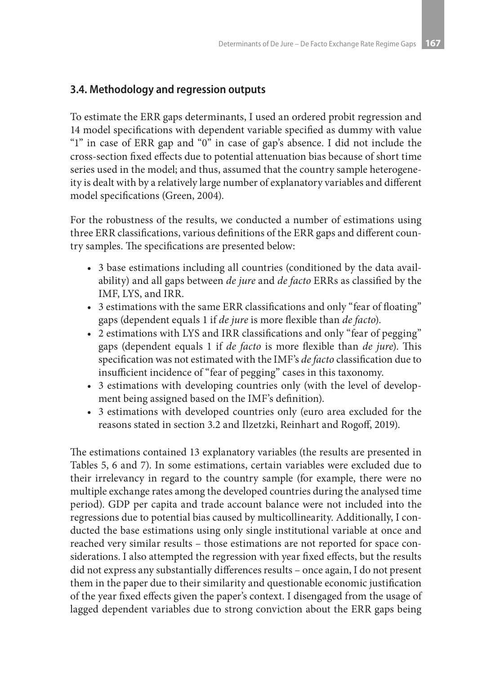# **3.4. Methodology and regression outputs**

To estimate the ERR gaps determinants, I used an ordered probit regression and 14 model specifications with dependent variable specified as dummy with value "1" in case of ERR gap and "0" in case of gap's absence. I did not include the cross-section fixed effects due to potential attenuation bias because of short time series used in the model; and thus, assumed that the country sample heterogeneity is dealt with by a relatively large number of explanatory variables and different model specifications (Green, 2004).

For the robustness of the results, we conducted a number of estimations using three ERR classifications, various definitions of the ERR gaps and different country samples. The specifications are presented below:

- 3 base estimations including all countries (conditioned by the data availability) and all gaps between *de jure* and *de facto* ERRs as classified by the IMF, LYS, and IRR.
- 3 estimations with the same ERR classifications and only "fear of floating" gaps (dependent equals 1 if *de jure* is more flexible than *de facto*).
- 2 estimations with LYS and IRR classifications and only "fear of pegging" gaps (dependent equals 1 if *de facto* is more flexible than *de jure*). This specification was not estimated with the IMF's *de facto* classification due to insufficient incidence of "fear of pegging" cases in this taxonomy.
- 3 estimations with developing countries only (with the level of development being assigned based on the IMF's definition).
- 3 estimations with developed countries only (euro area excluded for the reasons stated in section 3.2 and Ilzetzki, Reinhart and Rogoff, 2019).

The estimations contained 13 explanatory variables (the results are presented in Tables 5, 6 and 7). In some estimations, certain variables were excluded due to their irrelevancy in regard to the country sample (for example, there were no multiple exchange rates among the developed countries during the analysed time period). GDP per capita and trade account balance were not included into the regressions due to potential bias caused by multicollinearity. Additionally, I conducted the base estimations using only single institutional variable at once and reached very similar results – those estimations are not reported for space considerations. I also attempted the regression with year fixed effects, but the results did not express any substantially differences results – once again, I do not present them in the paper due to their similarity and questionable economic justification of the year fixed effects given the paper's context. I disengaged from the usage of lagged dependent variables due to strong conviction about the ERR gaps being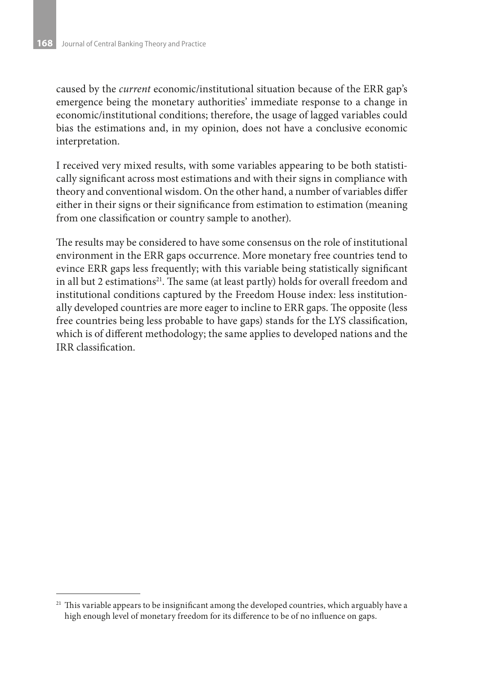caused by the *current* economic/institutional situation because of the ERR gap's emergence being the monetary authorities' immediate response to a change in economic/institutional conditions; therefore, the usage of lagged variables could bias the estimations and, in my opinion, does not have a conclusive economic interpretation.

I received very mixed results, with some variables appearing to be both statistically significant across most estimations and with their signs in compliance with theory and conventional wisdom. On the other hand, a number of variables differ either in their signs or their significance from estimation to estimation (meaning from one classification or country sample to another).

The results may be considered to have some consensus on the role of institutional environment in the ERR gaps occurrence. More monetary free countries tend to evince ERR gaps less frequently; with this variable being statistically significant in all but 2 estimations<sup>21</sup>. The same (at least partly) holds for overall freedom and institutional conditions captured by the Freedom House index: less institutionally developed countries are more eager to incline to ERR gaps. The opposite (less free countries being less probable to have gaps) stands for the LYS classification, which is of different methodology; the same applies to developed nations and the IRR classification.

<sup>&</sup>lt;sup>21</sup> This variable appears to be insignificant among the developed countries, which arguably have a high enough level of monetary freedom for its difference to be of no influence on gaps.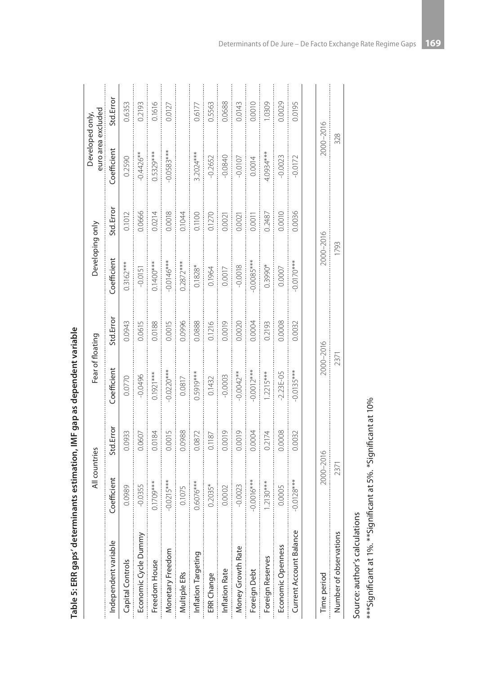| Table 5: ERR gaps' determinants estimation, IMF gap as dependent variable |               |           |                  |           |                 |           |                                       |           |
|---------------------------------------------------------------------------|---------------|-----------|------------------|-----------|-----------------|-----------|---------------------------------------|-----------|
|                                                                           | All countries |           | Fear of floating |           | Developing only |           | euro area excluded<br>Developed only, |           |
| Independent variable                                                      | Coefficient   | Std.Error | Coefficient      | Std.Error | Coefficient     | Std.Error | Coefficient                           | Std.Error |
| Capital Controls                                                          | 0.0989        | 0.0933    | 0.0770           | 0.0943    | $0.3162***$     | 0.1012    | 0.2590                                | 0.6353    |
| Economic Cycle Dummy                                                      | $-0.0355$     | 0.0607    | $-0.0496$        | 0.0615    | $-0.0151$       | 0.0666    | $-0.4426**$                           | 0.2193    |
| Freedom House                                                             | $0.1709***$   | 0.0184    | $0.1921***$      | 0.0188    | $0.1400***$     | 0.0214    | $0.5329***$                           | 0.1616    |
| Monetary Freedom                                                          | $0.0215***$   | 0.0015    | $0.0220***$      | 0.0015    | $-0.0146***$    | 0.0018    | $0.0583***$                           | 0.0127    |
| Multiple ERs                                                              | 0.1075        | 0.0988    | 0.0817           | 0.0996    | $0.2872***$     | 0.1044    |                                       |           |
| Inflation Targeting                                                       | $0.6076***$   | 0.0872    | $0.5919***$      | 0.0888    | $0.1828*$       | 0.1100    | $3.2024***$                           | 0.6177    |
| ERR Change                                                                | $0.2035*$     | 0.1187    | 0.1432           | 0.1216    | 0.1964          | 0.1270    | $-0.2652$                             | 0.5563    |
| Inflation Rate                                                            | 0.0002        | 0.0019    | $-0.0003$        | 0.0019    | 0.0017          | 0.0021    | $-0.0840$                             | 0.0688    |
| Money Growth Rate                                                         | $-0.0023$     | 0.0019    | $-0.0042**$      | 0.0020    | $-0.0018$       | 0.0021    | $-0.0107$                             | 0.0143    |
| Foreign Debt                                                              | $-0.0016***$  | 0.0004    | $0.0012***$      | 0.0004    | $0.0085***$     | 0.0011    | 0.0014                                | 0.0010    |
| Foreign Reserves                                                          | $.2130***$    | 0.2174    | $.2215***$       | 0.2193    | $0.3990*$       | 0.2487    | $***$ 0934***                         | 1,0309    |
| Economic Openness                                                         | 0.0005        | 0.0008    | $-2.23E - 05$    | 0.0008    | 0.0007          | 0.0010    | $-0.0023$                             | 0.0029    |
| Current Account Balance                                                   | $0.0128***$   | 0.0032    | $0.0135***$      | 0.0032    | $0.0170***$     | 0.0036    | $-0.0172$                             | 0.0195    |
|                                                                           |               |           |                  |           |                 |           |                                       |           |
| Time period                                                               | 2000-2016     |           | 2000-2016        |           | 2000-2016       |           | 2000-2016                             |           |
| Number of observations                                                    | 2371          |           | 2371             |           | 1793            |           | 328                                   |           |

| i                                                                       |
|-------------------------------------------------------------------------|
| --------<br>ì<br>֞<br>١                                                 |
| ֧֖֖֧֧֚֚֚֚֚֚֚֚֚֚֚֚֚֚֚֚֚֚֕֝֓ <u>֓</u><br>֧֪֪֪֪֪֪֪֪֪֪֪֪֪֪֪֪֪֪֪֪֪֪֪֪֪ׅ֖֪֪ׅ֖ |
| $\ddot{\phantom{a}}$                                                    |
|                                                                         |
|                                                                         |
| i                                                                       |

Source: author's calculations Source: author's calculations

\*\*\*Significant at 1%. \*\*Significant at 5%. \*Significant at 10%  $^{***}$ Significant at 1%.  $^{**}$ Significant at 5%.  $^*$ Significant at 10%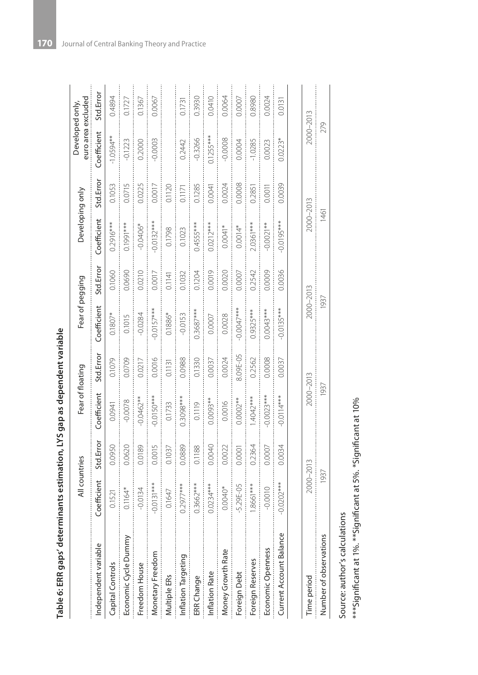| - Animation IVS and as denomination |  |
|-------------------------------------|--|
|                                     |  |
|                                     |  |
|                                     |  |
|                                     |  |
|                                     |  |
|                                     |  |
|                                     |  |
|                                     |  |
| į                                   |  |
|                                     |  |
|                                     |  |
| í                                   |  |
|                                     |  |
| ,<br>;<br>;                         |  |
|                                     |  |
|                                     |  |
|                                     |  |
|                                     |  |
|                                     |  |
|                                     |  |
|                                     |  |
|                                     |  |
|                                     |  |
|                                     |  |
|                                     |  |
|                                     |  |
|                                     |  |
|                                     |  |
|                                     |  |
|                                     |  |
|                                     |  |
|                                     |  |
|                                     |  |
|                                     |  |
|                                     |  |
|                                     |  |
|                                     |  |
|                                     |  |
|                                     |  |
| ï                                   |  |
|                                     |  |
|                                     |  |
| )<br>:<br>:<br>:<br>:               |  |
|                                     |  |
|                                     |  |
|                                     |  |

| Table 6: ERR gaps' determinants estimation, LYS gap as dependent variable |               |           |                  |           |                 |           |                 |           |                                       |           |
|---------------------------------------------------------------------------|---------------|-----------|------------------|-----------|-----------------|-----------|-----------------|-----------|---------------------------------------|-----------|
|                                                                           | All countries |           | Fear of floating |           | Fear of pegging |           | Developing only |           | euro area excluded<br>Developed only, |           |
| Independent variable                                                      | Coefficient   | Std.Error | Coefficient      | Std.Error | Coefficient     | Std.Error | Coefficient     | Std.Error | Coefficient                           | Std.Error |
| Capital Controls                                                          | 0.1521        | 0.0950    | 0.0941           | 0.1079    | $0.1807*$       | 0.1060    | $0.2916***$     | 0.1053    | $-1.0594**$                           | 0.4894    |
| Economic Cycle Dummy                                                      | $0.1164*$     | 0.0620    | $-0.0078$        | 0.0709    | 0.1015          | 0.0690    | $0.1991***$     | 0.0715    | $-0.1223$                             | 0.1727    |
| Freedom House                                                             | $-0.0134$     | 0.0189    | $0.0462**$       | 0.0217    | $-0.0284$       | 0.0210    | $-0.0406*$      | 0.0225    | 0.2000                                | 0.1367    |
| Monetary Freedom                                                          | $0.0131***$   | 0.0015    | $-0.0150***$     | 0.0016    | $-0.0157***$    | 0.0017    | $0.0132***$     | 0.0017    | 0.0003                                | 0.0067    |
| Multiple ERs                                                              | 0.1647        | 0.1037    | 0.1733           | 0.1131    | 0.1886*         | 0.1141    | 0.1798          | 0.1120    |                                       |           |
| Inflation Targeting                                                       | $0.2977***$   | 0.0889    | 0.3098***        | 0.0988    | $-0.0153$       | 0.1032    | 0.1023          | 0.1171    | 0.2442                                | 0.1731    |
| ERR Change                                                                | $0.3662***$   | 0.1188    | 0.1119           | 0.1330    | $0.3687***$     | 0.1204    | $0.4555***$     | 0.1285    | $-0.3266$                             | 0.3930    |
| Inflation Rate                                                            | $0.0234***$   | 0.0040    | $0.0093**$       | 0.0037    | 0.0007          | 0.0019    | $0.0212***$     | 0.0041    | $0.1255***$                           | 0.0410    |
| Money Growth Rate                                                         | 0.0040*       | 0.0022    | 0.0016           | 0.0024    | 0.0028          | 0.0020    | $0.0041*$       | 0.0024    | $-0.0008$                             | 0.0064    |
| Foreign Debt                                                              | $-5.29E - 05$ | 0.0001    | $0.0002**$       | 8.09E-05  | $0.0047***$     | 0.0007    | $0.0014*$       | 0.0008    | 0.0004                                | 0.0007    |
| Foreign Reserves                                                          | I.8661***     | 0.2364    | $1.4042***$      | 0.2562    | $0.9325***$     | 0.2542    | $2.0361***$     | 0.2851    | $-1.0285$                             | 0.8980    |
| Economic Openness                                                         | $-0.0010$     | 0.0007    | $0.0023***$      | 0.0008    | $0.0043***$     | 0.0009    | $-0.0021**$     | 0.0011    | 0.0023                                | 0.0024    |
| Current Account Balance                                                   | $0.0202***$   | 0.0034    | $-0.0114***$     | 0.0037    | $-0.0135***$    | 0.0036    | $0.0195***$     | 0.0039    | $0.0223*$                             | 0.0131    |
|                                                                           |               |           |                  |           |                 |           |                 |           |                                       |           |
| Time period                                                               | 2000-2013     |           | 2000-2013        |           | 2000-2013       |           | 2000-2013       |           | 2000-2013                             |           |
| Number of observations                                                    | 1937          |           | 1937             |           | 1937            |           | 1461            |           | 279                                   |           |

Source: author's calculations Source: author's calculations

\*\*\*Significant at 1%.\*\*Significant at 5%. \*Significant at 10%  $^{***}$ Significant at 1%.  $^{**}$ Significant at 5%.  $^*$ Significant at 10%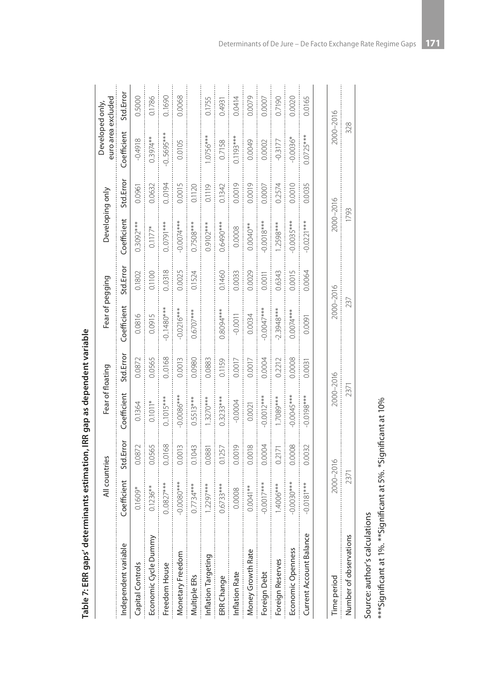|                         | All countries |           | Fear of floating |           | Fear of pegging |           | Developing only |           | euro area excluded<br>Developed only, |           |
|-------------------------|---------------|-----------|------------------|-----------|-----------------|-----------|-----------------|-----------|---------------------------------------|-----------|
| Independent variable    | Coefficient   | Std.Error | Coefficient      | Std.Error | Coefficient     | Std.Error | Coefficient     | Std.Error | Coefficient                           | Std.Error |
| Capital Controls        | $0.1609*$     | 0.0872    | 0.1364           | 0.0872    | 0.0816          | 0.1802    | $0.3092***$     | 0.0961    | $-0.4918$                             | 0.5000    |
| Economic Cycle Dummy    | $0.1236**$    | 0.0565    | $0.1011*$        | 0.0565    | 0.0915          | 0.1100    | $0.1177*$       | 0.0632    | 0.3974**                              | 0.1786    |
| Freedom House           | $0.0827***$   | 0.0168    | $0.1015***$      | 0.0168    | $0.1480**$      | 0.0318    | $0.0791***$     | 0.0194    | $-0.5695***$                          | 0.1690    |
| Monetary Freedom        | $0.0080***$   | 0.0013    | $0.0086***$      | 0.0013    | $-0.0216***$    | 0.0025    | $-0.0074***$    | 0.0015    | 0.0105                                | 0.0068    |
| Multiple ERs            | $0.7734***$   | 0.1043    | $0.5513***$      | 0.0980    | $0.6707***$     | 0.1524    | $0.7508***$     | 0.1120    |                                       |           |
| Inflation Targeting     | $1.2297***$   | 0.0881    | $1.3270***$      | 0.0883    |                 |           | $0.9102***$     | 0.1119    | .0756***                              | 0.1755    |
| ERR Change              | $0.6733***$   | 0.1257    | $0.3233***$      | 0.1159    | $0.8094***$     | 0.1460    | $0.6490***$     | 0.1342    | 0.7158                                | 0.4931    |
| Inflation Rate          | 0.0008        | 0.0019    | $-0.0004$        | 0.0017    | $-0.0011$       | 0.0033    | 0.0008          | 0.0019    | $0.1193***$                           | 0.0414    |
| Money Growth Rate       | $0.0041**$    | 0.0018    | 0.0021           | 0.0017    | 0.0034          | 0.0029    | $0.0040**$      | 0.0019    | 0.0049                                | 0.0079    |
| Foreign Debt            | $0.0017***$   | 0.0004    | $0.0012***$      | 0.0004    | $0.0047***$     | 0.0011    | $-0.0018***$    | 0.0007    | 0.0002                                | 0.0007    |
| Foreign Reserves        | 1.4006***     | 0.2171    | .7089***         | 0.2212    | 2.3948***       | 0.6343    | $1.2598***$     | 0.2574    | $-0.3177$                             | 0.7190    |
| Economic Openness       | $0.0030***$   | 0.0008    | $0.0045***$      | 0.0008    | $0.0074***$     | 0.0015    | $0.0035***$     | 0.0010    | $0.0036*$                             | 0.0020    |
| Current Account Balance | $-0.0181***$  | 0.0032    | $***$ 8610.0-    | 0.0031    | 0.0091          | 0.0064    | $-0.0221***$    | 0.0035    | $0.0725***$                           | 0.0165    |
|                         |               |           |                  |           |                 |           |                 |           |                                       |           |
| Time period             | 2000-2016     |           | 2000-2016        |           | 2000-2016       |           | 2000-2016       |           | 2000-2016                             |           |
| Number of observations  | 2371          |           | 2371             |           | 237             |           | 1793            |           | 328                                   |           |

| .<br>.<br>. |
|-------------|
|             |
| こうこう こうこう   |
| í           |
|             |
|             |
|             |
|             |
| Í           |
|             |

Source: author's calculations Source: author's calculations

\*\*\*Significant at 1%. \*\*Significant at 5%. \*Significant at 10%  $^{***}$ Significant at 1%.  $^{**}$ Significant at 5%.  $^*$ Significant at 10%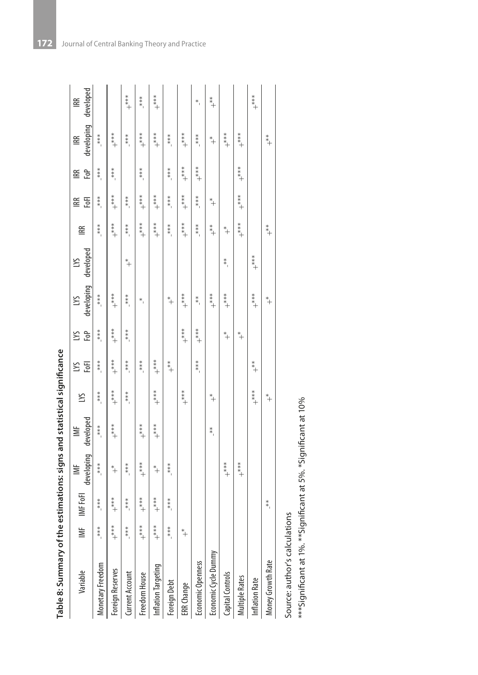| - The Miller of Cancer                                               |
|----------------------------------------------------------------------|
|                                                                      |
| ֧֧֧֦֧֧֧֧֧֧֧֦֧֧֧֧֧֦֧֧֦֧֧֦֧֚֚֚֚֚֚֚֚֚֚֚֚֚֚֚֚֚֚֚֚֚֚֚֚֚֚֚֚֝֝֓֜֓֜֓֜֓֜֜֜֜֜֜ |
|                                                                      |
| S                                                                    |
| ת<br>;                                                               |
| voarv of the actimations: cinus and statistical                      |
|                                                                      |
|                                                                      |
|                                                                      |
|                                                                      |
| Ä.                                                                   |

| Table 8: Summary of the |                    |                    | estimations: signs and statistical significance |           |       |                    |         |                  |           |                  |       |            |                  |            |
|-------------------------|--------------------|--------------------|-------------------------------------------------|-----------|-------|--------------------|---------|------------------|-----------|------------------|-------|------------|------------------|------------|
| Variable                | ≣                  | IMF FoFI           | $\geq$                                          | ≝         | ΣN    | S                  | S       | ΣN               | ΣN        | <b>IRR</b>       | 留     | <b>IRR</b> | 留                | <b>IRR</b> |
|                         |                    |                    | developing                                      | developed |       | EoFl               | FoP     | developing       | developed |                  | FoFl  | ĒФ         | developing       | developed  |
| Monetary Freedom        | $***$ <sup>1</sup> | $***$ <sup>1</sup> | $***$                                           | $***$     | $***$ | $***$              | ****    | $***$            |           | $***$            | $***$ | $***1$     | $***$            |            |
| Foreign Reserves        | $+$ ***            | $+$                | $^\ast\!+$                                      | $* * * *$ | $+$   | $+$                | $+$     | $* * * *$        |           | $* * * *$        | $+$   | ****       | $+$              |            |
| Current Account         | ****               | $***$              | ****                                            |           | ****  | $***$ <sup>*</sup> | ****    | ****             | $*$       | ****             | ****  |            | $***$            | $+$        |
| Freedom House           | $+$ ***            | $+$                | $+$                                             | $+$       |       | $***$              |         | $*$              |           | $^{***}_{++}$    | $+$   | $***$      | $+$              | $***$      |
| Inflation Targeting     | $+$ ***            | $+$                | $^\ast\!+$                                      | $+$       | $+$   | $+$                |         |                  |           | $+$ ***          | $+$   |            | $+$ ***          | $+$ ***    |
| Foreign Debt            | ****               | $* * * *$          | ****                                            |           |       | $*$ <sup>*</sup>   |         | $*$ <sup>+</sup> |           | $***$            | $***$ | $***$      | ****             |            |
| ERR Change              | $^*$               |                    |                                                 |           | $+$   |                    | $+$ *** | $+$ ***          |           | $+$              | $+$   | $+$        | $+$              |            |
| Economic Openness       |                    |                    |                                                 |           |       | $* * * *$          | $+$     | $*$              |           | $***$            | $***$ | $* * * *$  | ****             | $*$        |
| Economic Cycle Dummy    |                    |                    |                                                 | $*$       | $*$   |                    |         | $+$ ***          |           | $*$ <sup>*</sup> | $*$   |            | $*$              | $*$        |
| Capital Controls        |                    |                    | $+$                                             |           |       |                    | $^*$    | $+$              | $*$       | $*$              |       |            | $+$ $*$          |            |
| <b>Multiple Rates</b>   |                    |                    | $+$                                             |           |       |                    | $^*$    |                  |           | $+$              | $+$   | $+$        | $+$ $*$ $*$ $+$  |            |
| <b>Inflation Rate</b>   |                    |                    |                                                 |           | $+$   | $+$                |         | $+***$           | $+$       |                  |       |            |                  | $+$ **     |
| Money Growth Rate       |                    | $*$                |                                                 |           | $*$   |                    |         | $*$              |           | $*$ <sup>*</sup> |       |            | $*$ <sup>*</sup> |            |
|                         |                    |                    |                                                 |           |       |                    |         |                  |           |                  |       |            |                  |            |

Source: author's calculations

Source: author's calculations<br>\*\*\*Significant at 1%. \*\*Significant at 5%. \*Significant at 10% \*\*\*Significant at 1%. \*\*Significant at 5%. \*Significant at 10%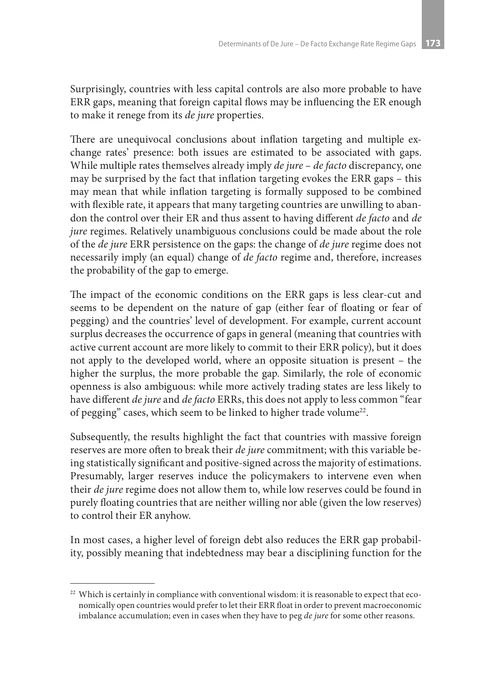Surprisingly, countries with less capital controls are also more probable to have ERR gaps, meaning that foreign capital flows may be influencing the ER enough to make it renege from its *de jure* properties.

There are unequivocal conclusions about inflation targeting and multiple exchange rates' presence: both issues are estimated to be associated with gaps. While multiple rates themselves already imply *de jure* – *de facto* discrepancy, one may be surprised by the fact that inflation targeting evokes the ERR gaps – this may mean that while inflation targeting is formally supposed to be combined with flexible rate, it appears that many targeting countries are unwilling to abandon the control over their ER and thus assent to having different *de facto* and *de jure* regimes. Relatively unambiguous conclusions could be made about the role of the *de jure* ERR persistence on the gaps: the change of *de jure* regime does not necessarily imply (an equal) change of *de facto* regime and, therefore, increases the probability of the gap to emerge.

The impact of the economic conditions on the ERR gaps is less clear-cut and seems to be dependent on the nature of gap (either fear of floating or fear of pegging) and the countries' level of development. For example, current account surplus decreases the occurrence of gaps in general (meaning that countries with active current account are more likely to commit to their ERR policy), but it does not apply to the developed world, where an opposite situation is present – the higher the surplus, the more probable the gap. Similarly, the role of economic openness is also ambiguous: while more actively trading states are less likely to have different *de jure* and *de facto* ERRs, this does not apply to less common "fear of pegging" cases, which seem to be linked to higher trade volume<sup>22</sup>.

Subsequently, the results highlight the fact that countries with massive foreign reserves are more often to break their *de jure* commitment; with this variable being statistically significant and positive-signed across the majority of estimations. Presumably, larger reserves induce the policymakers to intervene even when their *de jure* regime does not allow them to, while low reserves could be found in purely floating countries that are neither willing nor able (given the low reserves) to control their ER anyhow.

In most cases, a higher level of foreign debt also reduces the ERR gap probability, possibly meaning that indebtedness may bear a disciplining function for the

<sup>&</sup>lt;sup>22</sup> Which is certainly in compliance with conventional wisdom: it is reasonable to expect that economically open countries would prefer to let their ERR float in order to prevent macroeconomic imbalance accumulation; even in cases when they have to peg *de jure* for some other reasons.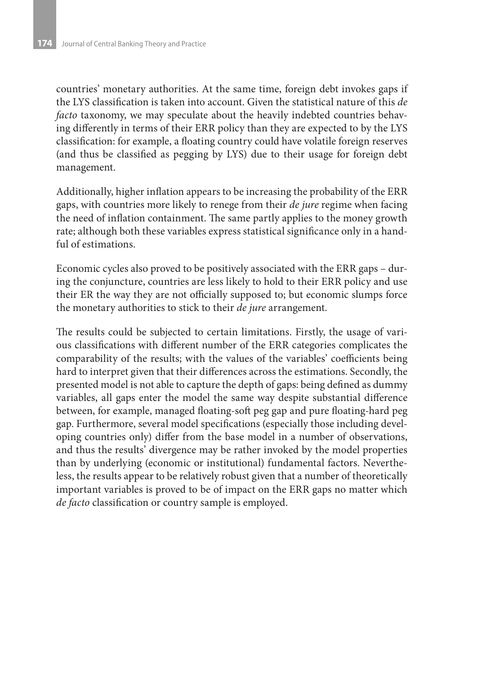countries' monetary authorities. At the same time, foreign debt invokes gaps if the LYS classification is taken into account. Given the statistical nature of this *de facto* taxonomy, we may speculate about the heavily indebted countries behaving differently in terms of their ERR policy than they are expected to by the LYS classification: for example, a floating country could have volatile foreign reserves (and thus be classified as pegging by LYS) due to their usage for foreign debt management.

Additionally, higher inflation appears to be increasing the probability of the ERR gaps, with countries more likely to renege from their *de jure* regime when facing the need of inflation containment. The same partly applies to the money growth rate; although both these variables express statistical significance only in a handful of estimations.

Economic cycles also proved to be positively associated with the ERR gaps – during the conjuncture, countries are less likely to hold to their ERR policy and use their ER the way they are not officially supposed to; but economic slumps force the monetary authorities to stick to their *de jure* arrangement.

The results could be subjected to certain limitations. Firstly, the usage of various classifications with different number of the ERR categories complicates the comparability of the results; with the values of the variables' coefficients being hard to interpret given that their differences across the estimations. Secondly, the presented model is not able to capture the depth of gaps: being defined as dummy variables, all gaps enter the model the same way despite substantial difference between, for example, managed floating-soft peg gap and pure floating-hard peg gap. Furthermore, several model specifications (especially those including developing countries only) differ from the base model in a number of observations, and thus the results' divergence may be rather invoked by the model properties than by underlying (economic or institutional) fundamental factors. Nevertheless, the results appear to be relatively robust given that a number of theoretically important variables is proved to be of impact on the ERR gaps no matter which *de facto* classification or country sample is employed.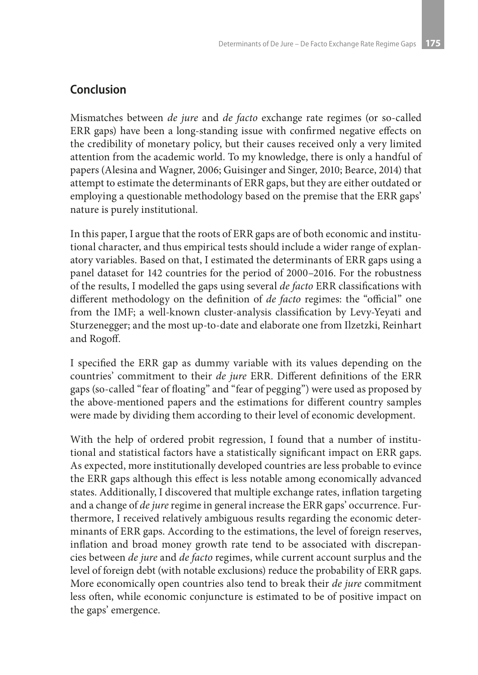### **Conclusion**

Mismatches between *de jure* and *de facto* exchange rate regimes (or so-called ERR gaps) have been a long-standing issue with confirmed negative effects on the credibility of monetary policy, but their causes received only a very limited attention from the academic world. To my knowledge, there is only a handful of papers (Alesina and Wagner, 2006; Guisinger and Singer, 2010; Bearce, 2014) that attempt to estimate the determinants of ERR gaps, but they are either outdated or employing a questionable methodology based on the premise that the ERR gaps' nature is purely institutional.

In this paper, I argue that the roots of ERR gaps are of both economic and institutional character, and thus empirical tests should include a wider range of explanatory variables. Based on that, I estimated the determinants of ERR gaps using a panel dataset for 142 countries for the period of 2000–2016. For the robustness of the results, I modelled the gaps using several *de facto* ERR classifications with different methodology on the definition of *de facto* regimes: the "official" one from the IMF; a well-known cluster-analysis classification by Levy-Yeyati and Sturzenegger; and the most up-to-date and elaborate one from Ilzetzki, Reinhart and Rogoff.

I specified the ERR gap as dummy variable with its values depending on the countries' commitment to their *de jure* ERR. Different definitions of the ERR gaps (so-called "fear of floating" and "fear of pegging") were used as proposed by the above-mentioned papers and the estimations for different country samples were made by dividing them according to their level of economic development.

With the help of ordered probit regression, I found that a number of institutional and statistical factors have a statistically significant impact on ERR gaps. As expected, more institutionally developed countries are less probable to evince the ERR gaps although this effect is less notable among economically advanced states. Additionally, I discovered that multiple exchange rates, inflation targeting and a change of *de jure* regime in general increase the ERR gaps' occurrence. Furthermore, I received relatively ambiguous results regarding the economic determinants of ERR gaps. According to the estimations, the level of foreign reserves, inflation and broad money growth rate tend to be associated with discrepancies between *de jure* and *de facto* regimes, while current account surplus and the level of foreign debt (with notable exclusions) reduce the probability of ERR gaps. More economically open countries also tend to break their *de jure* commitment less often, while economic conjuncture is estimated to be of positive impact on the gaps' emergence.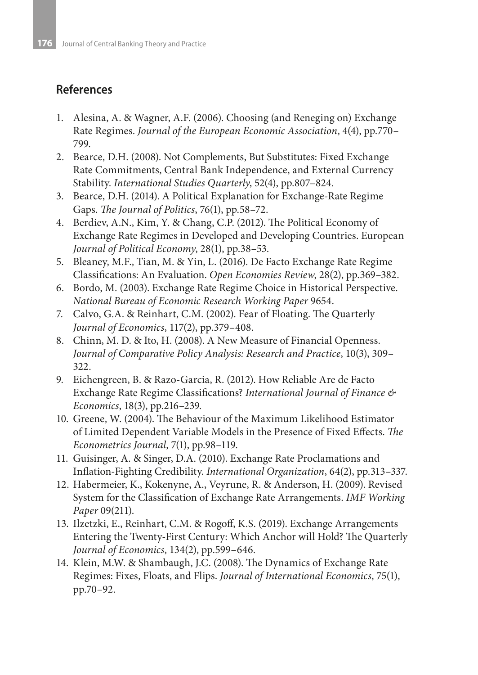# **References**

- 1. Alesina, A. & Wagner, A.F. (2006). Choosing (and Reneging on) Exchange Rate Regimes. *Journal of the European Economic Association*, 4(4), pp.770– 799.
- 2. Bearce, D.H. (2008). Not Complements, But Substitutes: Fixed Exchange Rate Commitments, Central Bank Independence, and External Currency Stability. *International Studies Quarterly*, 52(4), pp.807–824.
- 3. Bearce, D.H. (2014). A Political Explanation for Exchange-Rate Regime Gaps. *The Journal of Politics*, 76(1), pp.58–72.
- 4. Berdiev, A.N., Kim, Y. & Chang, C.P. (2012). The Political Economy of Exchange Rate Regimes in Developed and Developing Countries. European *Journal of Political Economy*, 28(1), pp.38–53.
- 5. Bleaney, M.F., Tian, M. & Yin, L. (2016). De Facto Exchange Rate Regime Classifications: An Evaluation. *Open Economies Review*, 28(2), pp.369–382.
- 6. Bordo, M. (2003). Exchange Rate Regime Choice in Historical Perspective. *National Bureau of Economic Research Working Paper* 9654.
- 7. Calvo, G.A. & Reinhart, C.M. (2002). Fear of Floating. The Quarterly *Journal of Economics*, 117(2), pp.379–408.
- 8. Chinn, M. D. & Ito, H. (2008). A New Measure of Financial Openness. *Journal of Comparative Policy Analysis: Research and Practice*, 10(3), 309– 322.
- 9. Eichengreen, B. & Razo-Garcia, R. (2012). How Reliable Are de Facto Exchange Rate Regime Classifications? *International Journal of Finance & Economics*, 18(3), pp.216–239.
- 10. Greene, W. (2004). The Behaviour of the Maximum Likelihood Estimator of Limited Dependent Variable Models in the Presence of Fixed Effects. *The Econometrics Journal*, 7(1), pp.98–119.
- 11. Guisinger, A. & Singer, D.A. (2010). Exchange Rate Proclamations and Inflation-Fighting Credibility. *International Organization*, 64(2), pp.313–337.
- 12. Habermeier, K., Kokenyne, A., Veyrune, R. & Anderson, H. (2009). Revised System for the Classification of Exchange Rate Arrangements. *IMF Working Paper* 09(211).
- 13. Ilzetzki, E., Reinhart, C.M. & Rogoff, K.S. (2019). Exchange Arrangements Entering the Twenty-First Century: Which Anchor will Hold? The Quarterly *Journal of Economics*, 134(2), pp.599–646.
- 14. Klein, M.W. & Shambaugh, J.C. (2008). The Dynamics of Exchange Rate Regimes: Fixes, Floats, and Flips. *Journal of International Economics*, 75(1), pp.70–92.